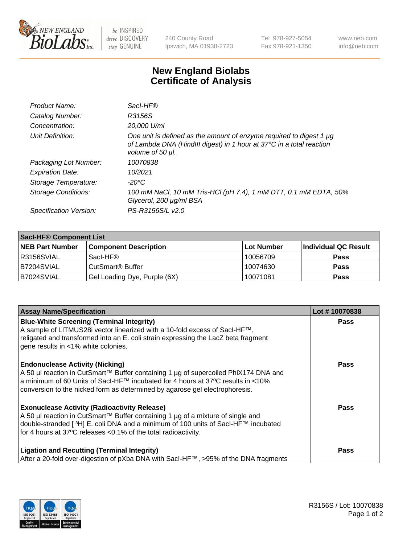

 $be$  INSPIRED drive DISCOVERY stay GENUINE

240 County Road Ipswich, MA 01938-2723 Tel 978-927-5054 Fax 978-921-1350 www.neb.com info@neb.com

## **New England Biolabs Certificate of Analysis**

| Product Name:              | Sacl-HF®                                                                                                                                                        |
|----------------------------|-----------------------------------------------------------------------------------------------------------------------------------------------------------------|
| Catalog Number:            | R3156S                                                                                                                                                          |
| Concentration:             | 20,000 U/ml                                                                                                                                                     |
| Unit Definition:           | One unit is defined as the amount of enzyme required to digest 1 µg<br>of Lambda DNA (HindIII digest) in 1 hour at 37°C in a total reaction<br>volume of 50 µl. |
| Packaging Lot Number:      | 10070838                                                                                                                                                        |
| <b>Expiration Date:</b>    | 10/2021                                                                                                                                                         |
| Storage Temperature:       | -20°C                                                                                                                                                           |
| <b>Storage Conditions:</b> | 100 mM NaCl, 10 mM Tris-HCl (pH 7.4), 1 mM DTT, 0.1 mM EDTA, 50%<br>Glycerol, 200 µg/ml BSA                                                                     |
| Specification Version:     | PS-R3156S/L v2.0                                                                                                                                                |

| <b>Saci-HF® Component List</b> |                              |            |                      |  |  |
|--------------------------------|------------------------------|------------|----------------------|--|--|
| <b>NEB Part Number</b>         | <b>Component Description</b> | Lot Number | Individual QC Result |  |  |
| I R3156SVIAL                   | Sacl-HF®                     | 10056709   | <b>Pass</b>          |  |  |
| IB7204SVIAL                    | CutSmart <sup>®</sup> Buffer | 10074630   | <b>Pass</b>          |  |  |
| B7024SVIAL                     | Gel Loading Dye, Purple (6X) | 10071081   | <b>Pass</b>          |  |  |

| <b>Assay Name/Specification</b>                                                                                                                                                                                                                                                                            | Lot #10070838 |
|------------------------------------------------------------------------------------------------------------------------------------------------------------------------------------------------------------------------------------------------------------------------------------------------------------|---------------|
| <b>Blue-White Screening (Terminal Integrity)</b><br>A sample of LITMUS28i vector linearized with a 10-fold excess of SacI-HF™,<br>religated and transformed into an E. coli strain expressing the LacZ beta fragment<br>gene results in <1% white colonies.                                                | <b>Pass</b>   |
| <b>Endonuclease Activity (Nicking)</b><br>A 50 µl reaction in CutSmart™ Buffer containing 1 µg of supercoiled PhiX174 DNA and<br>a minimum of 60 Units of Sacl-HF™ incubated for 4 hours at 37°C results in <10%<br>conversion to the nicked form as determined by agarose gel electrophoresis.            | Pass          |
| <b>Exonuclease Activity (Radioactivity Release)</b><br>A 50 µl reaction in CutSmart™ Buffer containing 1 µg of a mixture of single and<br>double-stranded [ <sup>3</sup> H] E. coli DNA and a minimum of 100 units of Sacl-HF™ incubated<br>for 4 hours at 37°C releases <0.1% of the total radioactivity. | <b>Pass</b>   |
| <b>Ligation and Recutting (Terminal Integrity)</b><br>After a 20-fold over-digestion of pXba DNA with Sacl-HF™, >95% of the DNA fragments                                                                                                                                                                  | Pass          |